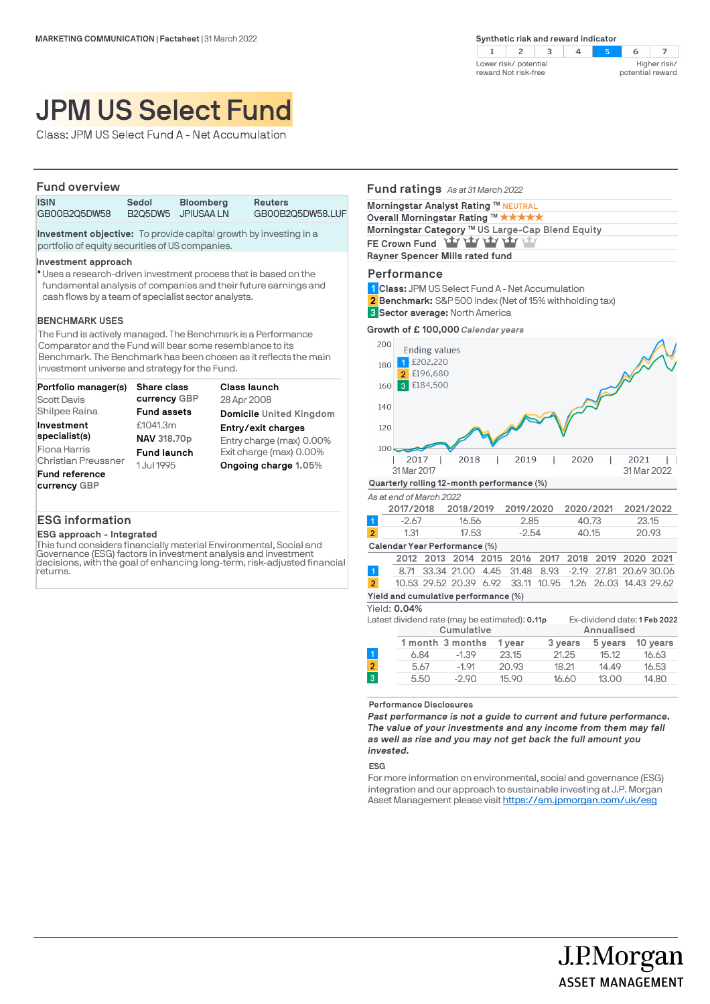

# JPM US Select Fund

Class: JPM US Select Fund A - Net Accumulation

| <b>Fund overview</b>                                                                                                        |       |                                        |                                    |  |  |
|-----------------------------------------------------------------------------------------------------------------------------|-------|----------------------------------------|------------------------------------|--|--|
| <b>ISIN</b><br>GB00B2Q5DW58                                                                                                 | Sedol | <b>Bloomberg</b><br>B2Q5DW5 JPIUSAA LN | <b>Reuters</b><br>GB00B2Q5DW58.LUF |  |  |
| <b>Investment objective:</b> To provide capital growth by investing in a<br>portfolio of equity securities of US companies. |       |                                        |                                    |  |  |

**Investment approach** 

Uses a research-driven investment process that is based on the l fundamental analysis of companies and their future earnings and cash flows by a team of specialist sector analysts.

#### **BENCHMARK USES**

The Fund is actively managed. The Benchmark is a Performance Comparator and the Fund will bear some resemblance to its Benchmark. The Benchmark has been chosen as it reflects the main investment universe and strategy for the Fund.

| Portfolio manager(s)       | <b>Share class</b> | Class launch             |
|----------------------------|--------------------|--------------------------|
| <b>Scott Davis</b>         | currency GBP       | 28 Apr 2008              |
| Shilpee Raina              | <b>Fund assets</b> | Domicile United Kingdom  |
| Investment                 | £1041.3m           | Entry/exit charges       |
| specialist(s)              | NAV 318.70p        | Entry charge (max) 0.00% |
| Fiona Harris               | <b>Fund launch</b> | Exit charge (max) 0.00%  |
| <b>Christian Preussner</b> | 1 Jul 1995         | Ongoing charge 1.05%     |
| Fund reference             |                    |                          |
| currency GBP               |                    |                          |

## **ESG information**

#### **ESG approach - Integrated**

This fund considers financially material Environmental, Social and Governance (ESG) factors in investment analysis and investment decisions, with the goal of enhancing long-term, risk-adjusted financial returns.

| <b>Fund ratings</b> As at 31 March 2022                        |
|----------------------------------------------------------------|
| Morningstar Analyst Rating ™ NEUTRAL                           |
| Overall Morningstar Rating ™ ★★★★★                             |
| Morningstar Category ™ US Large-Cap Blend Equity               |
| FE Crown Fund Thy Thy Thy Thy Thy                              |
| Rayner Spencer Mills rated fund                                |
| Performance                                                    |
| 1 Class: JPM US Select Fund A - Net Accumulation               |
| <b>2 Benchmark:</b> S&P 500 Index (Net of 15% withholding tax) |

**Sector average:** North America **3**



|                               | 2017/2018 | 2018/2019 | 2019/2020 | 2020/2021 | 2021/2022 |
|-------------------------------|-----------|-----------|-----------|-----------|-----------|
|                               | $-2.67$   | 16.56     | 2.85      | 40.73     | 23.15     |
| $\overline{2}$                | 1.31      | 17.53     | $-2.54$   | 40.15     | 20.93     |
| Calendar Year Performance (%) |           |           |           |           |           |

|                                      |  |  |  | 2012 2013 2014 2015 2016 2017 2018 2019 2020 2021         |  |  |  |  |
|--------------------------------------|--|--|--|-----------------------------------------------------------|--|--|--|--|
|                                      |  |  |  | 8.71 33.34 21.00 4.45 31.48 8.93 -2.19 27.81 20.69 30.06  |  |  |  |  |
| 2 <sup>1</sup>                       |  |  |  | 10.53 29.52 20.39 6.92 33.11 10.95 1.26 26.03 14.43 29.62 |  |  |  |  |
| Yield and cumulative performance (%) |  |  |  |                                                           |  |  |  |  |

#### Yield: **0.04%**

|                |            | Latest dividend rate (may be estimated): <b>0.11p</b> |        |         |            | Ex-dividend date: 1 Feb 2022 |  |
|----------------|------------|-------------------------------------------------------|--------|---------|------------|------------------------------|--|
|                | Cumulative |                                                       |        |         | Annualised |                              |  |
|                |            | 1 month 3 months                                      | 1 year | 3 years | 5 years    | 10 years                     |  |
|                | 6.84       | $-1.39$                                               | 23.15  | 21.25   | 15.12      | 16.63                        |  |
| $\overline{2}$ | 5.67       | $-1.91$                                               | 20.93  | 18.21   | 14.49      | 16.53                        |  |
| $\overline{3}$ | 5.50       | $-2.90$                                               | 15.90  | 16.60   | 13.00      | 14.80                        |  |
|                |            |                                                       |        |         |            |                              |  |

**Performance Disclosures**

*Past performance is not a guide to current and future performance. The value of your investments and any income from them may fall as well as rise and you may not get back the full amount you invested.* 

#### **ESG**

For more information on environmental, social and governance (ESG) integration and our approach to sustainable investing at J.P. Morgan Asset Management please visit https://am.jpmorgan.com/uk/esg

> J.P.Morgan **ASSET MANAGEMENT**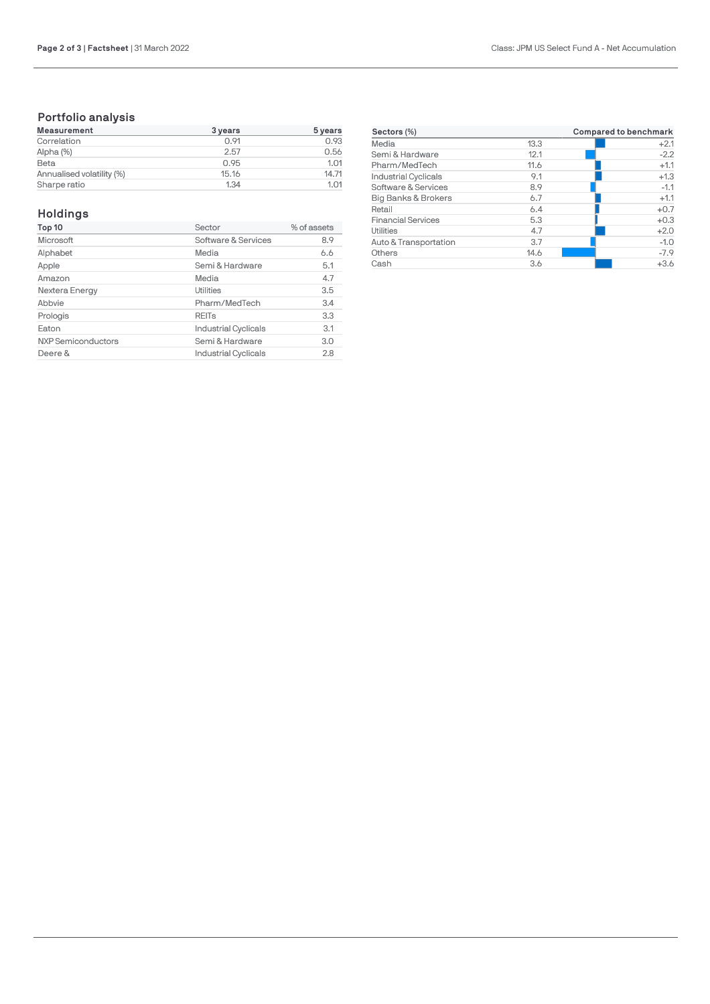# **Portfolio analysis**

| Measurement               | 3 years | 5 years |
|---------------------------|---------|---------|
| Correlation               | 0.91    | 0.93    |
| Alpha (%)                 | 2.57    | 0.56    |
| Beta                      | 0.95    | 1.01    |
| Annualised volatility (%) | 15.16   | 14.71   |
| Sharpe ratio              | 1.34    | 1.01    |

# **Holdings**

| Top 10                    | Sector                      | % of assets |
|---------------------------|-----------------------------|-------------|
| Microsoft                 | Software & Services         | 8.9         |
| Alphabet                  | Media                       | 6.6         |
| Apple                     | Semi & Hardware             | 5.1         |
| Amazon                    | Media                       | 4.7         |
| Nextera Energy            | Utilities                   | 3.5         |
| Abbvie                    | Pharm/MedTech               | 3.4         |
| Prologis                  | <b>REIT<sub>s</sub></b>     | 3.3         |
| Eaton                     | <b>Industrial Cyclicals</b> | 3.1         |
| <b>NXP Semiconductors</b> | Semi & Hardware             | 3.0         |
| Deere &                   | <b>Industrial Cyclicals</b> | 2.8         |

| Sectors (%)                 |      | Compared to benchmark |  |  |
|-----------------------------|------|-----------------------|--|--|
| Media                       | 13.3 | $+2.1$                |  |  |
| Semi & Hardware             | 12.1 | $-2.2$                |  |  |
| Pharm/MedTech               | 11.6 | $+1.1$                |  |  |
| <b>Industrial Cyclicals</b> | 9.1  | $+1.3$                |  |  |
| Software & Services         | 8.9  | $-1.1$                |  |  |
| Big Banks & Brokers         | 6.7  | $+1.1$                |  |  |
| Retail                      | 6.4  | $+0.7$                |  |  |
| <b>Financial Services</b>   | 5.3  | $+0.3$                |  |  |
| Utilities                   | 4.7  | $+2.0$                |  |  |
| Auto & Transportation       | 3.7  | $-1.0$                |  |  |
| Others                      | 14.6 | $-7.9$                |  |  |
| Cash                        | 3.6  | $+3.6$                |  |  |